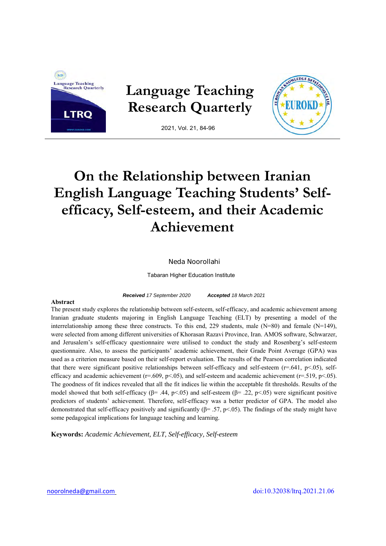

# **On the Relationship between Iranian English Language Teaching Students' Selfefficacy, Self-esteem, and their Academic Achievement**

## Neda Noorollahi

Tabaran Higher Education Institute

*Received 17 September 2020 Accepted 18 March 2021* 

## **Abstract**

The present study explores the relationship between self-esteem, self-efficacy, and academic achievement among Iranian graduate students majoring in English Language Teaching (ELT) by presenting a model of the interrelationship among these three constructs. To this end, 229 students, male  $(N=80)$  and female  $(N=149)$ , were selected from among different universities of Khorasan Razavi Province, Iran. AMOS software, Schwarzer, and Jerusalem's self-efficacy questionnaire were utilised to conduct the study and Rosenberg's self-esteem questionnaire. Also, to assess the participants' academic achievement, their Grade Point Average (GPA) was used as a criterion measure based on their self-report evaluation. The results of the Pearson correlation indicated that there were significant positive relationships between self-efficacy and self-esteem ( $r=641$ ,  $p<0.05$ ), selfefficacy and academic achievement ( $r=0.609$ ,  $p<0.65$ ), and self-esteem and academic achievement ( $r=0.519$ ,  $p<0.65$ ). The goodness of fit indices revealed that all the fit indices lie within the acceptable fit thresholds. Results of the model showed that both self-efficacy ( $\beta$ = .44, p<.05) and self-esteem ( $\beta$ = .22, p<.05) were significant positive predictors of students' achievement. Therefore, self-efficacy was a better predictor of GPA. The model also demonstrated that self-efficacy positively and significantly ( $\beta$ = .57, p<.05). The findings of the study might have some pedagogical implications for language teaching and learning.

**Keywords:** *Academic Achievement, ELT, Self-efficacy, Self-esteem*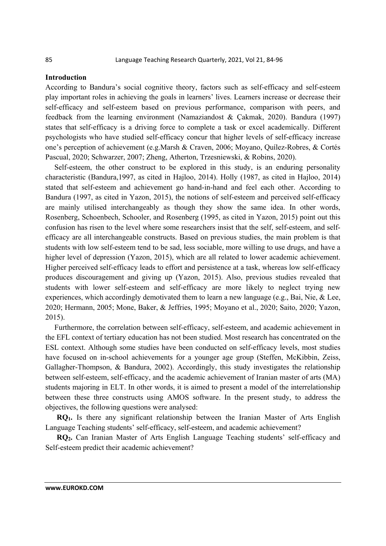## **Introduction**

According to Bandura's social cognitive theory, factors such as self-efficacy and self-esteem play important roles in achieving the goals in learners' lives. Learners increase or decrease their self-efficacy and self-esteem based on previous performance, comparison with peers, and feedback from the learning environment (Namaziandost & Çakmak, 2020). Bandura (1997) states that self-efficacy is a driving force to complete a task or excel academically. Different psychologists who have studied self-efficacy concur that higher levels of self-efficacy increase one's perception of achievement (e.g.Marsh & Craven, 2006; Moyano, Quílez-Robres, & Cortés Pascual, 2020; Schwarzer, 2007; Zheng, Atherton, Trzesniewski, & Robins, 2020).

Self-esteem, the other construct to be explored in this study, is an enduring personality characteristic (Bandura,1997, as cited in Hajloo, 2014). Holly (1987, as cited in Hajloo, 2014) stated that self-esteem and achievement go hand-in-hand and feel each other. According to Bandura (1997, as cited in Yazon, 2015), the notions of self-esteem and perceived self-efficacy are mainly utilised interchangeably as though they show the same idea. In other words, Rosenberg, Schoenbech, Schooler, and Rosenberg (1995, as cited in Yazon, 2015) point out this confusion has risen to the level where some researchers insist that the self, self-esteem, and selfefficacy are all interchangeable constructs. Based on previous studies, the main problem is that students with low self-esteem tend to be sad, less sociable, more willing to use drugs, and have a higher level of depression (Yazon, 2015), which are all related to lower academic achievement. Higher perceived self-efficacy leads to effort and persistence at a task, whereas low self-efficacy produces discouragement and giving up (Yazon, 2015). Also, previous studies revealed that students with lower self-esteem and self-efficacy are more likely to neglect trying new experiences, which accordingly demotivated them to learn a new language (e.g., Bai, Nie, & Lee, 2020; Hermann, 2005; Mone, Baker, & Jeffries, 1995; Moyano et al., 2020; Saito, 2020; Yazon, 2015).

Furthermore, the correlation between self-efficacy, self-esteem, and academic achievement in the EFL context of tertiary education has not been studied. Most research has concentrated on the ESL context. Although some studies have been conducted on self-efficacy levels, most studies have focused on in-school achievements for a younger age group (Steffen, McKibbin, Zeiss, Gallagher-Thompson, & Bandura, 2002). Accordingly, this study investigates the relationship between self-esteem, self-efficacy, and the academic achievement of Iranian master of arts (MA) students majoring in ELT. In other words, it is aimed to present a model of the interrelationship between these three constructs using AMOS software. In the present study, to address the objectives, the following questions were analysed:

**RQ1.** Is there any significant relationship between the Iranian Master of Arts English Language Teaching students' self-efficacy, self-esteem, and academic achievement?

**RQ2.** Can Iranian Master of Arts English Language Teaching students' self-efficacy and Self-esteem predict their academic achievement?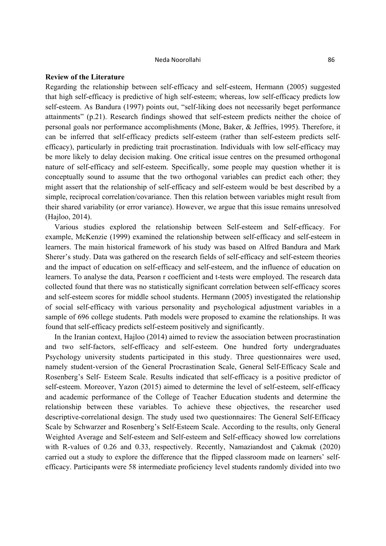## **Review of the Literature**

Regarding the relationship between self-efficacy and self-esteem, Hermann (2005) suggested that high self-efficacy is predictive of high self-esteem; whereas, low self-efficacy predicts low self-esteem. As Bandura (1997) points out, "self-liking does not necessarily beget performance attainments" (p.21). Research findings showed that self-esteem predicts neither the choice of personal goals nor performance accomplishments (Mone, Baker, & Jeffries, 1995). Therefore, it can be inferred that self-efficacy predicts self-esteem (rather than self-esteem predicts selfefficacy), particularly in predicting trait procrastination. Individuals with low self-efficacy may be more likely to delay decision making. One critical issue centres on the presumed orthogonal nature of self-efficacy and self-esteem. Specifically, some people may question whether it is conceptually sound to assume that the two orthogonal variables can predict each other; they might assert that the relationship of self-efficacy and self-esteem would be best described by a simple, reciprocal correlation/covariance. Then this relation between variables might result from their shared variability (or error variance). However, we argue that this issue remains unresolved (Hajloo, 2014).

Various studies explored the relationship between Self-esteem and Self-efficacy. For example, McKenzie (1999) examined the relationship between self-efficacy and self-esteem in learners. The main historical framework of his study was based on Alfred Bandura and Mark Sherer's study. Data was gathered on the research fields of self-efficacy and self-esteem theories and the impact of education on self-efficacy and self-esteem, and the influence of education on learners. To analyse the data, Pearson r coefficient and t-tests were employed. The research data collected found that there was no statistically significant correlation between self-efficacy scores and self-esteem scores for middle school students. Hermann (2005) investigated the relationship of social self-efficacy with various personality and psychological adjustment variables in a sample of 696 college students. Path models were proposed to examine the relationships. It was found that self-efficacy predicts self-esteem positively and significantly.

In the Iranian context, Hajloo (2014) aimed to review the association between procrastination and two self-factors, self-efficacy and self-esteem. One hundred forty undergraduates Psychology university students participated in this study. Three questionnaires were used, namely student-version of the General Procrastination Scale, General Self-Efficacy Scale and Rosenberg's Self- Esteem Scale. Results indicated that self-efficacy is a positive predictor of self-esteem. Moreover, Yazon (2015) aimed to determine the level of self-esteem, self-efficacy and academic performance of the College of Teacher Education students and determine the relationship between these variables. To achieve these objectives, the researcher used descriptive-correlational design. The study used two questionnaires: The General Self-Efficacy Scale by Schwarzer and Rosenberg's Self-Esteem Scale. According to the results, only General Weighted Average and Self-esteem and Self-esteem and Self-efficacy showed low correlations with R-values of 0.26 and 0.33, respectively. Recently, Namaziandost and Çakmak (2020) carried out a study to explore the difference that the flipped classroom made on learners' selfefficacy. Participants were 58 intermediate proficiency level students randomly divided into two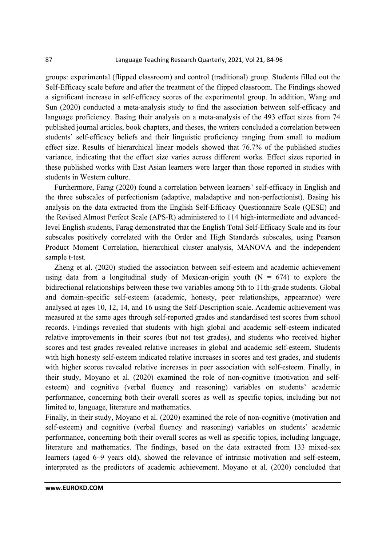groups: experimental (flipped classroom) and control (traditional) group. Students filled out the Self-Efficacy scale before and after the treatment of the flipped classroom. The Findings showed a significant increase in self-efficacy scores of the experimental group. In addition, Wang and Sun (2020) conducted a meta-analysis study to find the association between self-efficacy and language proficiency. Basing their analysis on a meta-analysis of the 493 effect sizes from 74 published journal articles, book chapters, and theses, the writers concluded a correlation between students' self-efficacy beliefs and their linguistic proficiency ranging from small to medium effect size. Results of hierarchical linear models showed that 76.7% of the published studies variance, indicating that the effect size varies across different works. Effect sizes reported in these published works with East Asian learners were larger than those reported in studies with students in Western culture.

Furthermore, Farag (2020) found a correlation between learners' self-efficacy in English and the three subscales of perfectionism (adaptive, maladaptive and non-perfectionist). Basing his analysis on the data extracted from the English Self-Efficacy Questionnaire Scale (QESE) and the Revised Almost Perfect Scale (APS-R) administered to 114 high-intermediate and advancedlevel English students, Farag demonstrated that the English Total Self-Efficacy Scale and its four subscales positively correlated with the Order and High Standards subscales, using Pearson Product Moment Correlation, hierarchical cluster analysis, MANOVA and the independent sample t-test.

Zheng et al. (2020) studied the association between self-esteem and academic achievement using data from a longitudinal study of Mexican-origin youth  $(N = 674)$  to explore the bidirectional relationships between these two variables among 5th to 11th-grade students. Global and domain-specific self-esteem (academic, honesty, peer relationships, appearance) were analysed at ages 10, 12, 14, and 16 using the Self-Description scale. Academic achievement was measured at the same ages through self-reported grades and standardised test scores from school records. Findings revealed that students with high global and academic self-esteem indicated relative improvements in their scores (but not test grades), and students who received higher scores and test grades revealed relative increases in global and academic self-esteem. Students with high honesty self-esteem indicated relative increases in scores and test grades, and students with higher scores revealed relative increases in peer association with self-esteem. Finally, in their study, Moyano et al. (2020) examined the role of non-cognitive (motivation and selfesteem) and cognitive (verbal fluency and reasoning) variables on students' academic performance, concerning both their overall scores as well as specific topics, including but not limited to, language, literature and mathematics.

Finally, in their study, Moyano et al. (2020) examined the role of non-cognitive (motivation and self-esteem) and cognitive (verbal fluency and reasoning) variables on students' academic performance, concerning both their overall scores as well as specific topics, including language, literature and mathematics. The findings, based on the data extracted from 133 mixed-sex learners (aged 6–9 years old), showed the relevance of intrinsic motivation and self-esteem, interpreted as the predictors of academic achievement. Moyano et al. (2020) concluded that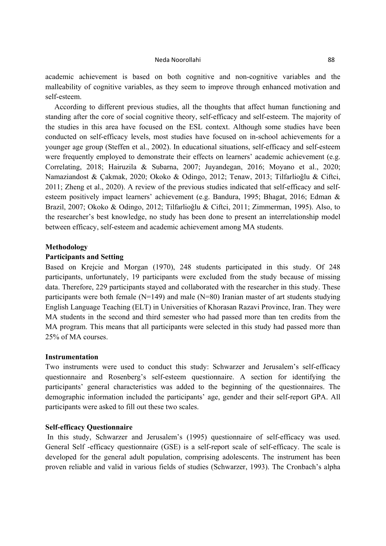academic achievement is based on both cognitive and non-cognitive variables and the malleability of cognitive variables, as they seem to improve through enhanced motivation and self-esteem.

According to different previous studies, all the thoughts that affect human functioning and standing after the core of social cognitive theory, self-efficacy and self-esteem. The majority of the studies in this area have focused on the ESL context. Although some studies have been conducted on self-efficacy levels, most studies have focused on in-school achievements for a younger age group (Steffen et al., 2002). In educational situations, self-efficacy and self-esteem were frequently employed to demonstrate their effects on learners' academic achievement (e.g. Correlating, 2018; Hairuzila & Subarna, 2007; Juyandegan, 2016; Moyano et al., 2020; Namaziandost & Çakmak, 2020; Okoko & Odingo, 2012; Tenaw, 2013; Tilfarlioğlu & Ciftci, 2011; Zheng et al., 2020). A review of the previous studies indicated that self-efficacy and selfesteem positively impact learners' achievement (e.g. Bandura, 1995; Bhagat, 2016; Edman & Brazil, 2007; Okoko & Odingo, 2012; Tilfarlioğlu & Ciftci, 2011; Zimmerman, 1995). Also, to the researcher's best knowledge, no study has been done to present an interrelationship model between efficacy, self-esteem and academic achievement among MA students.

## **Methodology**

## **Participants and Setting**

Based on Krejcie and Morgan (1970), 248 students participated in this study. Of 248 participants, unfortunately, 19 participants were excluded from the study because of missing data. Therefore, 229 participants stayed and collaborated with the researcher in this study. These participants were both female ( $N=149$ ) and male ( $N=80$ ) Iranian master of art students studying English Language Teaching (ELT) in Universities of Khorasan Razavi Province, Iran. They were MA students in the second and third semester who had passed more than ten credits from the MA program. This means that all participants were selected in this study had passed more than 25% of MA courses.

## **Instrumentation**

Two instruments were used to conduct this study: Schwarzer and Jerusalem's self-efficacy questionnaire and Rosenberg's self-esteem questionnaire. A section for identifying the participants' general characteristics was added to the beginning of the questionnaires. The demographic information included the participants' age, gender and their self-report GPA. All participants were asked to fill out these two scales.

## **Self-efficacy Questionnaire**

 In this study, Schwarzer and Jerusalem's (1995) questionnaire of self-efficacy was used. General Self -efficacy questionnaire (GSE) is a self-report scale of self-efficacy. The scale is developed for the general adult population, comprising adolescents. The instrument has been proven reliable and valid in various fields of studies (Schwarzer, 1993). The Cronbach's alpha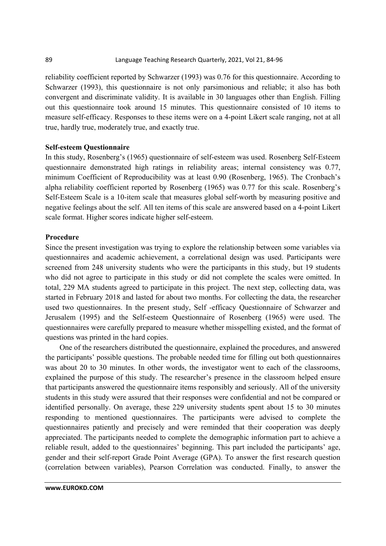reliability coefficient reported by Schwarzer (1993) was 0.76 for this questionnaire. According to Schwarzer (1993), this questionnaire is not only parsimonious and reliable; it also has both convergent and discriminate validity. It is available in 30 languages other than English. Filling out this questionnaire took around 15 minutes. This questionnaire consisted of 10 items to measure self-efficacy. Responses to these items were on a 4-point Likert scale ranging, not at all true, hardly true, moderately true, and exactly true.

## **Self-esteem Questionnaire**

In this study, Rosenberg's (1965) questionnaire of self-esteem was used. Rosenberg Self-Esteem questionnaire demonstrated high ratings in reliability areas; internal consistency was 0.77, minimum Coefficient of Reproducibility was at least 0.90 (Rosenberg, 1965). The Cronbach's alpha reliability coefficient reported by Rosenberg (1965) was 0.77 for this scale. Rosenberg's Self-Esteem Scale is a 10-item scale that measures global self-worth by measuring positive and negative feelings about the self. All ten items of this scale are answered based on a 4-point Likert scale format. Higher scores indicate higher self-esteem.

# **Procedure**

Since the present investigation was trying to explore the relationship between some variables via questionnaires and academic achievement, a correlational design was used. Participants were screened from 248 university students who were the participants in this study, but 19 students who did not agree to participate in this study or did not complete the scales were omitted. In total, 229 MA students agreed to participate in this project. The next step, collecting data, was started in February 2018 and lasted for about two months. For collecting the data, the researcher used two questionnaires. In the present study, Self -efficacy Questionnaire of Schwarzer and Jerusalem (1995) and the Self-esteem Questionnaire of Rosenberg (1965) were used. The questionnaires were carefully prepared to measure whether misspelling existed, and the format of questions was printed in the hard copies.

One of the researchers distributed the questionnaire, explained the procedures, and answered the participants' possible questions. The probable needed time for filling out both questionnaires was about 20 to 30 minutes. In other words, the investigator went to each of the classrooms, explained the purpose of this study. The researcher's presence in the classroom helped ensure that participants answered the questionnaire items responsibly and seriously. All of the university students in this study were assured that their responses were confidential and not be compared or identified personally. On average, these 229 university students spent about 15 to 30 minutes responding to mentioned questionnaires. The participants were advised to complete the questionnaires patiently and precisely and were reminded that their cooperation was deeply appreciated. The participants needed to complete the demographic information part to achieve a reliable result, added to the questionnaires' beginning. This part included the participants' age, gender and their self-report Grade Point Average (GPA). To answer the first research question (correlation between variables), Pearson Correlation was conducted. Finally, to answer the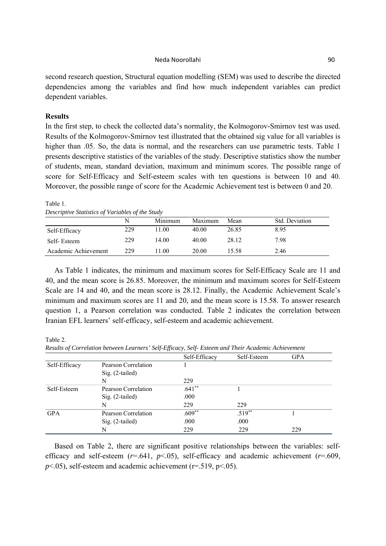second research question, Structural equation modelling (SEM) was used to describe the directed dependencies among the variables and find how much independent variables can predict dependent variables.

## **Results**

In the first step, to check the collected data's normality, the Kolmogorov-Smirnov test was used. Results of the Kolmogorov-Smirnov test illustrated that the obtained sig value for all variables is higher than .05. So, the data is normal, and the researchers can use parametric tests. Table 1 presents descriptive statistics of the variables of the study. Descriptive statistics show the number of students, mean, standard deviation, maximum and minimum scores. The possible range of score for Self-Efficacy and Self-esteem scales with ten questions is between 10 and 40. Moreover, the possible range of score for the Academic Achievement test is between 0 and 20.

#### Table 1.

*Descriptive Statistics of Variables of the Study* 

|                      |     | Minimum | Maximum | Mean  | Std. Deviation |
|----------------------|-----|---------|---------|-------|----------------|
| Self-Efficacy        | 229 | 11.00   | 40.00   | 26.85 | 8.95           |
| Self-Esteem          | 229 | 14.00   | 40.00   | 28.12 | 7.98           |
| Academic Achievement | 229 | 11.00   | 20.00   | 15.58 | 2.46           |

As Table 1 indicates, the minimum and maximum scores for Self-Efficacy Scale are 11 and 40, and the mean score is 26.85. Moreover, the minimum and maximum scores for Self-Esteem Scale are 14 and 40, and the mean score is 28.12. Finally, the Academic Achievement Scale's minimum and maximum scores are 11 and 20, and the mean score is 15.58. To answer research question 1, a Pearson correlation was conducted. Table 2 indicates the correlation between Iranian EFL learners' self-efficacy, self-esteem and academic achievement.

Table 2.

*Results of Correlation between Learners' Self-Efficacy, Self- Esteem and Their Academic Achievement* 

|               |                     | Self-Efficacy | Self-Esteem | <b>GPA</b> |
|---------------|---------------------|---------------|-------------|------------|
| Self-Efficacy | Pearson Correlation |               |             |            |
|               | Sig. (2-tailed)     |               |             |            |
|               | N                   | 229           |             |            |
| Self-Esteem   | Pearson Correlation | $.641**$      |             |            |
|               | Sig. (2-tailed)     | .000          |             |            |
|               | N                   | 229           | 229         |            |
| <b>GPA</b>    | Pearson Correlation | $.609**$      | $.519**$    |            |
|               | $Sig. (2-tailed)$   | .000          | .000        |            |
|               | N                   | 229           | 229         | 229        |

Based on Table 2, there are significant positive relationships between the variables: selfefficacy and self-esteem  $(r=641, p<05)$ , self-efficacy and academic achievement  $(r=609,$  $p$ <.05), self-esteem and academic achievement ( $r$ =.519,  $p$ <.05).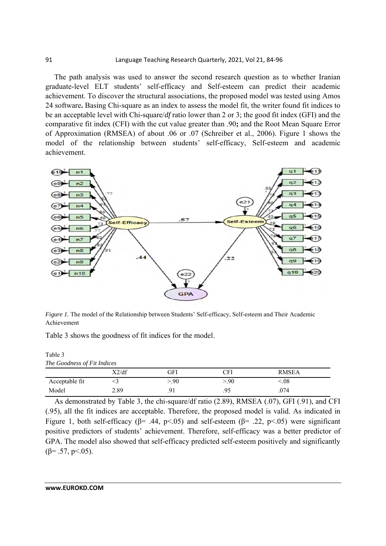The path analysis was used to answer the second research question as to whether Iranian graduate-level ELT students' self-efficacy and Self-esteem can predict their academic achievement. To discover the structural associations, the proposed model was tested using Amos 24 software**.** Basing Chi-square as an index to assess the model fit, the writer found fit indices to be an acceptable level with Chi-square/*df* ratio lower than 2 or 3; the good fit index (GFI) and the comparative fit index (CFI) with the cut value greater than .90**;** and the Root Mean Square Error of Approximation (RMSEA) of about .06 or .07 (Schreiber et al., 2006). Figure 1 shows the model of the relationship between students' self-efficacy, Self-esteem and academic achievement.



*Figure 1.* The model of the Relationship between Students' Self-efficacy, Self-esteem and Their Academic Achievement

Table 3 shows the goodness of fit indices for the model.

Table 3 *The Goodness of Fit Indices*

|                | $X2/\mathrm{df}$ | GFI | CFI  | <b>RMSEA</b> |  |  |
|----------------|------------------|-----|------|--------------|--|--|
| Acceptable fit |                  | >90 | -.90 | .08          |  |  |
| Model          | 2.89             |     | Q5   | .074         |  |  |

As demonstrated by Table 3, the chi-square/df ratio (2.89), RMSEA (.07), GFI (.91), and CFI (.95), all the fit indices are acceptable. Therefore, the proposed model is valid. As indicated in Figure 1, both self-efficacy ( $\beta$ = .44, p<.05) and self-esteem ( $\beta$ = .22, p<.05) were significant positive predictors of students' achievement. Therefore, self-efficacy was a better predictor of GPA. The model also showed that self-efficacy predicted self-esteem positively and significantly  $(\beta = .57, p < .05)$ .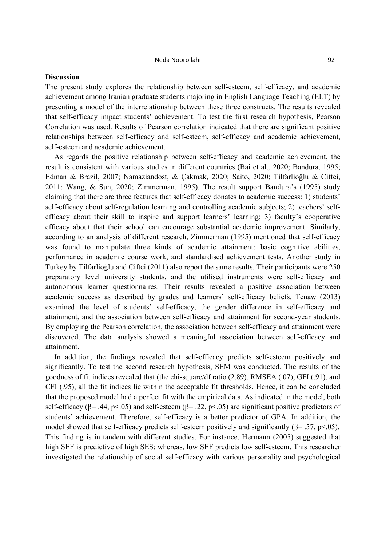## **Discussion**

The present study explores the relationship between self-esteem, self-efficacy, and academic achievement among Iranian graduate students majoring in English Language Teaching (ELT) by presenting a model of the interrelationship between these three constructs. The results revealed that self-efficacy impact students' achievement. To test the first research hypothesis, Pearson Correlation was used. Results of Pearson correlation indicated that there are significant positive relationships between self-efficacy and self-esteem, self-efficacy and academic achievement, self-esteem and academic achievement.

As regards the positive relationship between self-efficacy and academic achievement, the result is consistent with various studies in different countries (Bai et al., 2020; Bandura, 1995; Edman & Brazil, 2007; Namaziandost, & Çakmak, 2020; Saito, 2020; Tilfarlioğlu & Ciftci, 2011; Wang, & Sun, 2020; Zimmerman, 1995). The result support Bandura's (1995) study claiming that there are three features that self-efficacy donates to academic success: 1) students' self-efficacy about self-regulation learning and controlling academic subjects; 2) teachers' selfefficacy about their skill to inspire and support learners' learning; 3) faculty's cooperative efficacy about that their school can encourage substantial academic improvement. Similarly, according to an analysis of different research, Zimmerman (1995) mentioned that self-efficacy was found to manipulate three kinds of academic attainment: basic cognitive abilities, performance in academic course work, and standardised achievement tests. Another study in Turkey by Tilfarlioğlu and Ciftci (2011) also report the same results. Their participants were 250 preparatory level university students, and the utilised instruments were self-efficacy and autonomous learner questionnaires. Their results revealed a positive association between academic success as described by grades and learners' self-efficacy beliefs. Tenaw (2013) examined the level of students' self-efficacy, the gender difference in self-efficacy and attainment, and the association between self-efficacy and attainment for second-year students. By employing the Pearson correlation, the association between self-efficacy and attainment were discovered. The data analysis showed a meaningful association between self-efficacy and attainment.

In addition, the findings revealed that self-efficacy predicts self-esteem positively and significantly. To test the second research hypothesis, SEM was conducted. The results of the goodness of fit indices revealed that (the chi-square/df ratio (2.89), RMSEA (.07), GFI (.91), and CFI (.95), all the fit indices lie within the acceptable fit thresholds. Hence, it can be concluded that the proposed model had a perfect fit with the empirical data. As indicated in the model, both self-efficacy ( $\beta$ = .44, p<.05) and self-esteem ( $\beta$ = .22, p<.05) are significant positive predictors of students' achievement. Therefore, self-efficacy is a better predictor of GPA. In addition, the model showed that self-efficacy predicts self-esteem positively and significantly ( $\beta$ = .57, p<.05). This finding is in tandem with different studies. For instance, Hermann (2005) suggested that high SEF is predictive of high SES; whereas, low SEF predicts low self-esteem. This researcher investigated the relationship of social self-efficacy with various personality and psychological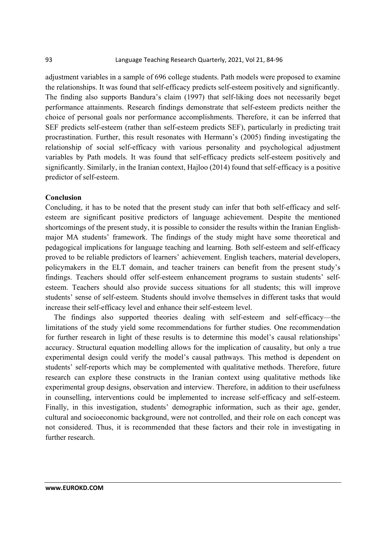adjustment variables in a sample of 696 college students. Path models were proposed to examine the relationships. It was found that self-efficacy predicts self-esteem positively and significantly. The finding also supports Bandura's claim (1997) that self-liking does not necessarily beget performance attainments. Research findings demonstrate that self-esteem predicts neither the choice of personal goals nor performance accomplishments. Therefore, it can be inferred that SEF predicts self-esteem (rather than self-esteem predicts SEF), particularly in predicting trait procrastination. Further, this result resonates with Hermann's (2005) finding investigating the relationship of social self-efficacy with various personality and psychological adjustment variables by Path models. It was found that self-efficacy predicts self-esteem positively and significantly. Similarly, in the Iranian context, Hajloo (2014) found that self-efficacy is a positive predictor of self-esteem.

# **Conclusion**

Concluding, it has to be noted that the present study can infer that both self-efficacy and selfesteem are significant positive predictors of language achievement. Despite the mentioned shortcomings of the present study, it is possible to consider the results within the Iranian Englishmajor MA students' framework. The findings of the study might have some theoretical and pedagogical implications for language teaching and learning. Both self-esteem and self-efficacy proved to be reliable predictors of learners' achievement. English teachers, material developers, policymakers in the ELT domain, and teacher trainers can benefit from the present study's findings. Teachers should offer self-esteem enhancement programs to sustain students' selfesteem. Teachers should also provide success situations for all students; this will improve students' sense of self-esteem. Students should involve themselves in different tasks that would increase their self-efficacy level and enhance their self-esteem level.

The findings also supported theories dealing with self-esteem and self-efficacy—the limitations of the study yield some recommendations for further studies. One recommendation for further research in light of these results is to determine this model's causal relationships' accuracy. Structural equation modelling allows for the implication of causality, but only a true experimental design could verify the model's causal pathways. This method is dependent on students' self-reports which may be complemented with qualitative methods. Therefore, future research can explore these constructs in the Iranian context using qualitative methods like experimental group designs, observation and interview. Therefore, in addition to their usefulness in counselling, interventions could be implemented to increase self-efficacy and self-esteem. Finally, in this investigation, students' demographic information, such as their age, gender, cultural and socioeconomic background, were not controlled, and their role on each concept was not considered. Thus, it is recommended that these factors and their role in investigating in further research.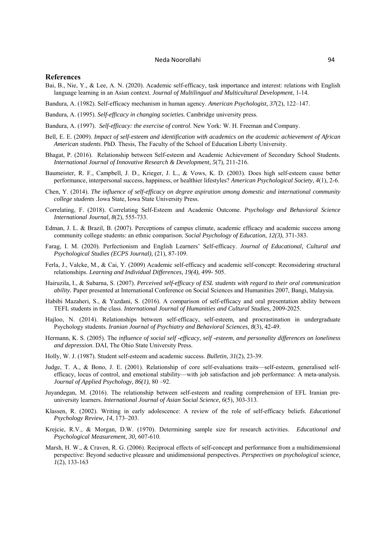#### **References**

- Bai, B., Nie, Y., & Lee, A. N. (2020). Academic self-efficacy, task importance and interest: relations with English language learning in an Asian context. *Journal of Multilingual and Multicultural Development*, 1-14.
- Bandura, A. (1982). Self-efficacy mechanism in human agency. *American Psychologist, 37*(2), 122–147.
- Bandura, A. (1995). *Self-efficacy in changing societies.* Cambridge university press.
- Bandura, A. (1997). *Self-efficacy: the exercise of control*. New York: W. H. Freeman and Company.
- Bell, E. E. (2009). *Impact of self-esteem and identification with academics on the academic achievement of African American students*. PhD. Thesis, The Faculty of the School of Education Liberty University.
- Bhagat, P. (2016). Relationship between Self-esteem and Academic Achievement of Secondary School Students. *International Journal of Innovative Research & Development, 5*(7), 211-216.
- Baumeister, R. F., Campbell, J. D., Krieger, J. L., & Vows, K. D. (2003). Does high self-esteem cause better performance, interpersonal success, happiness, or healthier lifestyles? *American Psychological Society, 4*(1), 2-6.
- Chen, Y. (2014). *The influence of self-efficacy on degree aspiration among domestic and international community college students .*Iowa State, Iowa State University Press.
- Correlating, F. (2018). Correlating Self-Esteem and Academic Outcome. *Psychology and Behavioral Science International Journal, 8*(2), 555-733.
- Edman, J. L. & Brazil, B. (2007). Perceptions of campus climate, academic efficacy and academic success among community college students: an ethnic comparison. *Social Psychology of Education, 12(3)*, 371-383.
- Farag, I. M. (2020). Perfectionism and English Learners' Self-efficacy. *Journal of Educational, Cultural and Psychological Studies (ECPS Journal),* (21), 87-109.
- Ferla, J., Valcke, M., & Cai, Y. (2009) Academic self-efficacy and academic self-concept: Reconsidering structural relationships. *Learning and Individual Differences, 19(4)*, 499- 505.
- Hairuzila, I., & Subarna, S. (2007). *Perceived self-efficacy of ESL students with regard to their oral communication ability.* Paper presented at International Conference on Social Sciences and Humanities 2007, Bangi, Malaysia.
- Habibi Mazaheri, S., & Yazdani, S. (2016). A comparison of self-efficacy and oral presentation ability between TEFL students in the class. *International Journal of Humanities and Cultural Studies,* 2009-2025.
- Hajloo, N. (2014). Relationships between self-efficacy, self-esteem, and procrastination in undergraduate Psychology students. *Iranian Journal of Psychiatry and Behavioral Sciences, 8*(3), 42-49.
- Hermann, K. S. (2005). The *influence of social self -efficacy, self -esteem, and personality differences on loneliness and depression*. DAI, The Ohio State University Press.
- Holly, W. J. (1987). Student self-esteem and academic success. *Bulletin, 31*(2), 23-39.
- Judge, T. A., & Bono, J. E. (2001). Relationship of core self-evaluations traits—self-esteem, generalised selfefficacy, locus of control, and emotional stability—with job satisfaction and job performance: A meta-analysis. *Journal of Applied Psychology, 86(1)*, 80 –92.
- Juyandegan, M. (2016). The relationship between self-esteem and reading comprehension of EFL Iranian preuniversity learners. *International Journal of Asian Social Science, 6*(5), 303-313.
- Klassen, R. (2002). Writing in early adolescence: A review of the role of self-efficacy beliefs. *Educational Psychology Review, 14*, 173–203.
- Krejcie, R.V., & Morgan, D.W. (1970). Determining sample size for research activities. *Educational and Psychological Measurement, 30,* 607-610.
- Marsh, H. W., & Craven, R. G. (2006). Reciprocal effects of self-concept and performance from a multidimensional perspective: Beyond seductive pleasure and unidimensional perspectives. *Perspectives on psychological science, 1*(2), 133-163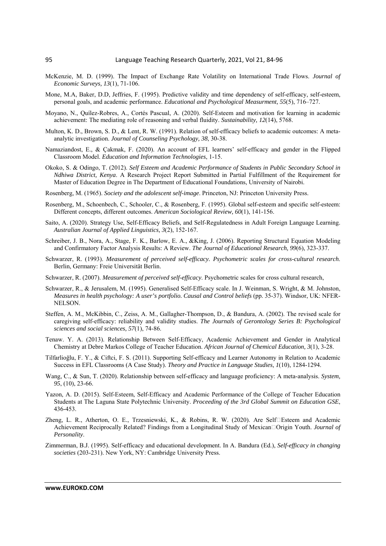- McKenzie, M. D. (1999). The Impact of Exchange Rate Volatility on International Trade Flows. *Journal of Economic Surveys, 13*(1), 71-106.
- Mone, M.A, Baker, D.D, Jeffries, F. (1995). Predictive validity and time dependency of self-efficacy, self-esteem, personal goals, and academic performance. *Educational and Psychological Measurment, 55*(5), 716–727.
- Moyano, N., Quílez-Robres, A., Cortés Pascual, A. (2020). Self-Esteem and motivation for learning in academic achievement: The mediating role of reasoning and verbal fluidity. *Sustainability, 12*(14), 5768.
- Multon, K. D., Brown, S. D., & Lent, R. W. (1991). Relation of self-efficacy beliefs to academic outcomes: A metaanalytic investigation. *Journal of Counseling Psychology, 38*, 30-38.
- Namaziandost, E., & Çakmak, F. (2020). An account of EFL learners' self-efficacy and gender in the Flipped Classroom Model. *Education and Information Technologies*, 1-15.
- Okoko, S. & Odingo, T. (2012). *Self Esteem and Academic Performance of Students in Public Secondary School in Ndhiwa District, Kenya*. A Research Project Report Submitted in Partial Fulfillment of the Requirement for Master of Education Degree in The Department of Educational Foundations, University of Nairobi.
- Rosenberg, M. (1965). *Society and the adolescent self-image*. Princeton, NJ: Princeton University Press.
- Rosenberg, M., Schoenbech, C., Schooler, C., & Rosenberg, F. (1995). Global self-esteem and specific self-esteem: Different concepts, different outcomes. *American Sociological Review, 60*(1), 141-156.
- Saito, A. (2020). Strategy Use, Self-Efficacy Beliefs, and Self-Regulatedness in Adult Foreign Language Learning. *Australian Journal of Applied Linguistics, 3*(2), 152-167.
- Schreiber, J. B., Nora, A., Stage, F. K., Barlow, E. A., &King, J. (2006). Reporting Structural Equation Modeling and Confirmatory Factor Analysis Results: A Review. *The Journal of Educational Research, 99*(6), 323-337.
- Schwarzer, R. (1993). *Measurement of perceived self-efficacy. Psychometric scales for cross-cultural research*. Berlin, Germany: Freie Universität Berlin.
- Schwarzer, R. (2007). *Measurement of perceived self-efficacy*. Psychometric scales for cross cultural research,
- Schwarzer, R., & Jerusalem, M. (1995). Generalised Self-Efficacy scale. In J. Weinman, S. Wright, & M. Johnston, *Measures in health psychology: A user's portfolio. Causal and Control beliefs* (pp. 35-37). Windsor, UK: NFER-NELSON.
- Steffen, A. M., McKibbin, C., Zeiss, A. M., Gallagher-Thompson, D., & Bandura, A. (2002). The revised scale for caregiving self-efficacy: reliability and validity studies. *The Journals of Gerontology Series B: Psychological sciences and social sciences, 57*(1), 74-86.
- Tenaw. Y. A. (2013). Relationship Between Self-Efficacy, Academic Achievement and Gender in Analytical Chemistry at Debre Markos College of Teacher Education. *African Journal of Chemical Education, 3*(1), 3-28.
- Tilfarlioğlu, F. Y., & Ciftci, F. S. (2011). Supporting Self-efficacy and Learner Autonomy in Relation to Academic Success in EFL Classrooms (A Case Study). *Theory and Practice in Language Studies, 1*(10), 1284-1294.
- Wang, C., & Sun, T. (2020). Relationship between self-efficacy and language proficiency: A meta-analysis. *System, 95*, (10), 23-66.
- Yazon, A. D. (2015). Self-Esteem, Self-Efficacy and Academic Performance of the College of Teacher Education Students at The Laguna State Polytechnic University. *Proceeding of the 3rd Global Summit on Education GSE*, 436-453.
- Zheng, L. R., Atherton, O. E., Trzesniewski, K., & Robins, R. W. (2020). Are Self□Esteem and Academic Achievement Reciprocally Related? Findings from a Longitudinal Study of Mexican□Origin Youth. *Journal of Personality*.
- Zimmerman, B.J. (1995). Self-efficacy and educational development. In A. Bandura (Ed.), *Self-efficacy in changing societies* (203-231). New York, NY: Cambridge University Press.